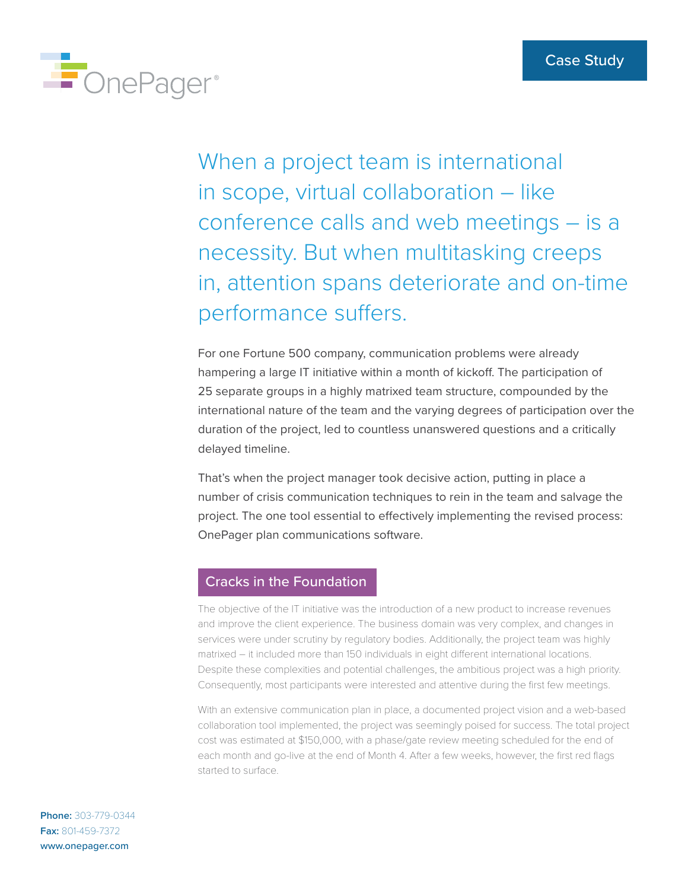

When a project team is international in scope, virtual collaboration – like conference calls and web meetings – is a necessity. But when multitasking creeps in, attention spans deteriorate and on-time performance suffers.

For one Fortune 500 company, communication problems were already hampering a large IT initiative within a month of kickoff. The participation of 25 separate groups in a highly matrixed team structure, compounded by the international nature of the team and the varying degrees of participation over the duration of the project, led to countless unanswered questions and a critically delayed timeline.

That's when the project manager took decisive action, putting in place a number of crisis communication techniques to rein in the team and salvage the project. The one tool essential to effectively implementing the revised process: OnePager plan communications software.

## Cracks in the Foundation

The objective of the IT initiative was the introduction of a new product to increase revenues and improve the client experience. The business domain was very complex, and changes in services were under scrutiny by regulatory bodies. Additionally, the project team was highly matrixed – it included more than 150 individuals in eight different international locations. Despite these complexities and potential challenges, the ambitious project was a high priority. Consequently, most participants were interested and attentive during the first few meetings.

With an extensive communication plan in place, a documented project vision and a web-based collaboration tool implemented, the project was seemingly poised for success. The total project cost was estimated at \$150,000, with a phase/gate review meeting scheduled for the end of each month and go-live at the end of Month 4. After a few weeks, however, the first red flags started to surface.

**Phone:** 303-779-0344 **Fax:** 801-459-7372 www.onepager.com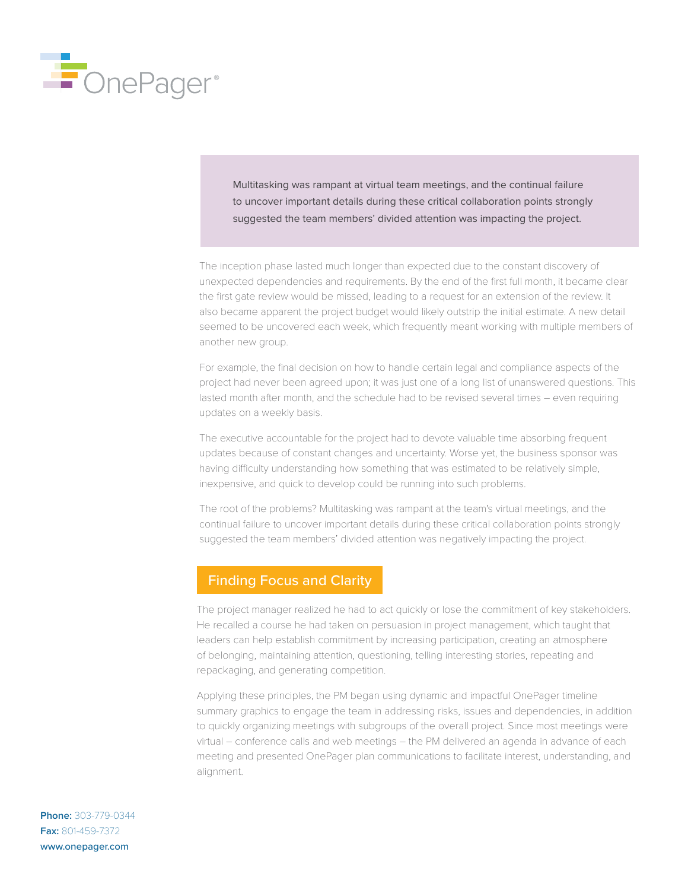

Multitasking was rampant at virtual team meetings, and the continual failure to uncover important details during these critical collaboration points strongly suggested the team members' divided attention was impacting the project.

The inception phase lasted much longer than expected due to the constant discovery of unexpected dependencies and requirements. By the end of the first full month, it became clear the first gate review would be missed, leading to a request for an extension of the review. It also became apparent the project budget would likely outstrip the initial estimate. A new detail seemed to be uncovered each week, which frequently meant working with multiple members of another new group.

For example, the final decision on how to handle certain legal and compliance aspects of the project had never been agreed upon; it was just one of a long list of unanswered questions. This lasted month after month, and the schedule had to be revised several times – even requiring updates on a weekly basis.

The executive accountable for the project had to devote valuable time absorbing frequent updates because of constant changes and uncertainty. Worse yet, the business sponsor was having difficulty understanding how something that was estimated to be relatively simple, inexpensive, and quick to develop could be running into such problems.

The root of the problems? Multitasking was rampant at the team's virtual meetings, and the continual failure to uncover important details during these critical collaboration points strongly suggested the team members' divided attention was negatively impacting the project.

## Finding Focus and Clarity

The project manager realized he had to act quickly or lose the commitment of key stakeholders. He recalled a course he had taken on persuasion in project management, which taught that leaders can help establish commitment by increasing participation, creating an atmosphere of belonging, maintaining attention, questioning, telling interesting stories, repeating and repackaging, and generating competition.

Applying these principles, the PM began using dynamic and impactful OnePager timeline summary graphics to engage the team in addressing risks, issues and dependencies, in addition to quickly organizing meetings with subgroups of the overall project. Since most meetings were virtual – conference calls and web meetings – the PM delivered an agenda in advance of each meeting and presented OnePager plan communications to facilitate interest, understanding, and alignment.

**Phone:** 303-779-0344 **Fax:** 801-459-7372 www.onepager.com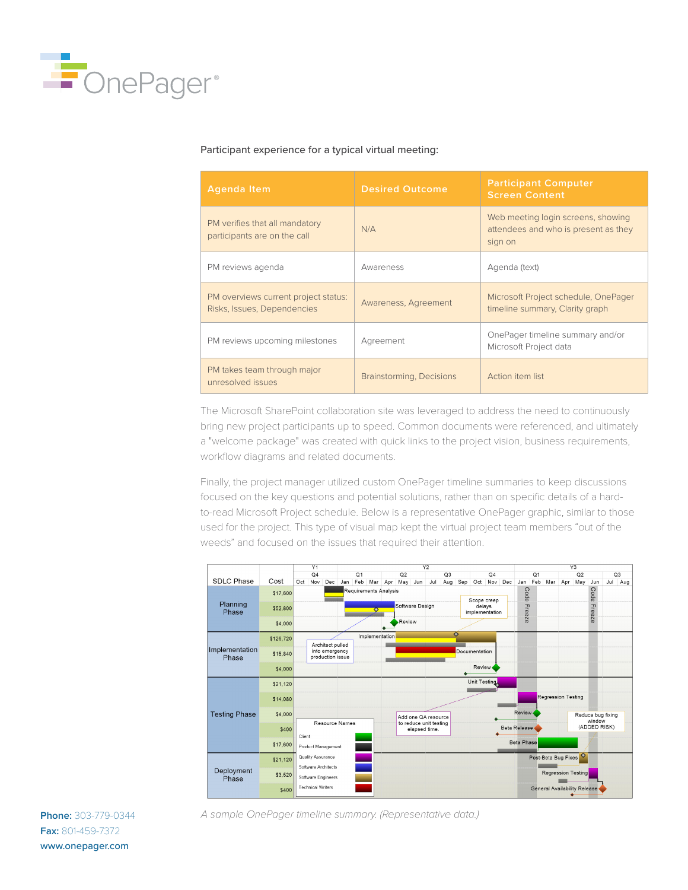

## Participant experience for a typical virtual meeting:

| <b>Agenda Item</b>                                                  | <b>Desired Outcome</b>   | <b>Participant Computer</b><br><b>Screen Content</b>                                  |
|---------------------------------------------------------------------|--------------------------|---------------------------------------------------------------------------------------|
| PM verifies that all mandatory<br>participants are on the call      | N/A                      | Web meeting login screens, showing<br>attendees and who is present as they<br>sign on |
| PM reviews agenda                                                   | Awareness                | Agenda (text)                                                                         |
| PM overviews current project status:<br>Risks, Issues, Dependencies | Awareness, Agreement     | Microsoft Project schedule, OnePager<br>timeline summary, Clarity graph               |
| PM reviews upcoming milestones                                      | Agreement                | OnePager timeline summary and/or<br>Microsoft Project data                            |
| PM takes team through major<br>unresolved issues                    | Brainstorming, Decisions | Action item list                                                                      |

The Microsoft SharePoint collaboration site was leveraged to address the need to continuously bring new project participants up to speed. Common documents were referenced, and ultimately a "welcome package" was created with quick links to the project vision, business requirements, workflow diagrams and related documents.

Finally, the project manager utilized custom OnePager timeline summaries to keep discussions focused on the key questions and potential solutions, rather than on specific details of a hardto-read Microsoft Project schedule. Below is a representative OnePager graphic, similar to those used for the project. This type of visual map kept the virtual project team members "out of the weeds" and focused on the issues that required their attention.



*A sample OnePager timeline summary. (Representative data.)*